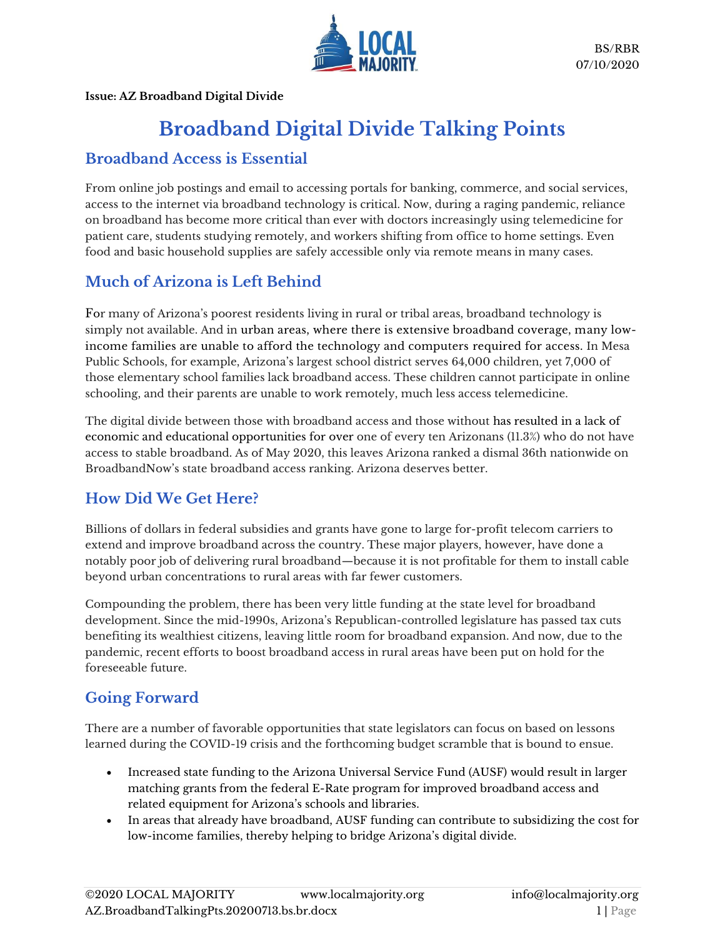

**Issue: AZ Broadband Digital Divide**

# **Broadband Digital Divide Talking Points**

#### **Broadband Access is Essential**

From online job postings and email to accessing portals for banking, commerce, and social services, access to the internet via broadband technology is critical. Now, during a raging pandemic, reliance on broadband has become more critical than ever with doctors increasingly using telemedicine for patient care, students studying remotely, and workers shifting from office to home settings. Even food and basic household supplies are safely accessible only via remote means in many cases.

# **Much of Arizona is Left Behind**

For many of Arizona's poorest residents living in rural or tribal areas, broadband technology is simply not available. And in urban areas, where there is extensive broadband coverage, many lowincome families are unable to afford the technology and computers required for access. In Mesa Public Schools, for example, Arizona's largest school district serves 64,000 children, yet 7,000 of those elementary school families lack broadband access. These children cannot participate in online schooling, and their parents are unable to work remotely, much less access telemedicine.

The digital divide between those with broadband access and those without has resulted in a lack of economic and educational opportunities for over one of every ten Arizonans (11.3%) who do not have access to stable broadband. As of May 2020, this leaves Arizona ranked a dismal 36th nationwide on BroadbandNow's state broadband access ranking. Arizona deserves better.

## **How Did We Get Here?**

Billions of dollars in federal subsidies and grants have gone to large for-profit telecom carriers to extend and improve broadband across the country. These major players, however, have done a notably poor job of delivering rural broadband—because it is not profitable for them to install cable beyond urban concentrations to rural areas with far fewer customers.

Compounding the problem, there has been very little funding at the state level for broadband development. Since the mid-1990s, Arizona's Republican-controlled legislature has passed tax cuts benefiting its wealthiest citizens, leaving little room for broadband expansion. And now, due to the pandemic, recent efforts to boost broadband access in rural areas have been put on hold for the foreseeable future.

## **Going Forward**

There are a number of favorable opportunities that state legislators can focus on based on lessons learned during the COVID-19 crisis and the forthcoming budget scramble that is bound to ensue.

- Increased state funding to the Arizona Universal Service Fund (AUSF) would result in larger matching grants from the federal E-Rate program for improved broadband access and related equipment for Arizona's schools and libraries.
- In areas that already have broadband, AUSF funding can contribute to subsidizing the cost for low-income families, thereby helping to bridge Arizona's digital divide.